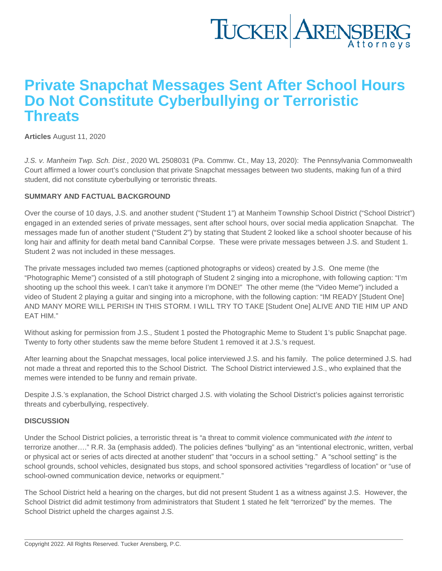## Private Snapchat Messages Sent After School Hours Do Not Constitute Cyberbullying or Terroristic **Threats**

[Articles](https://www.tuckerlaw.com/category/articles/) August 11, 2020

J.S. v. Manheim Twp. Sch. Dist., 2020 WL 2508031 (Pa. Commw. Ct., May 13, 2020): The Pennsylvania Commonwealth Court affirmed a lower court's conclusion that private Snapchat messages between two students, making fun of a third student, did not constitute cyberbullying or terroristic threats.

## SUMMARY AND FACTUAL BACKGROUND

Over the course of 10 days, J.S. and another student ("Student 1") at Manheim Township School District ("School District") engaged in an extended series of private messages, sent after school hours, over social media application Snapchat. The messages made fun of another student ("Student 2") by stating that Student 2 looked like a school shooter because of his long hair and affinity for death metal band Cannibal Corpse. These were private messages between J.S. and Student 1. Student 2 was not included in these messages.

The private messages included two memes (captioned photographs or videos) created by J.S. One meme (the "Photographic Meme") consisted of a still photograph of Student 2 singing into a microphone, with following caption: "I'm shooting up the school this week. I can't take it anymore I'm DONE!" The other meme (the "Video Meme") included a video of Student 2 playing a guitar and singing into a microphone, with the following caption: "IM READY [Student One] AND MANY MORE WILL PERISH IN THIS STORM. I WILL TRY TO TAKE [Student One] ALIVE AND TIE HIM UP AND EAT HIM."

Without asking for permission from J.S., Student 1 posted the Photographic Meme to Student 1's public Snapchat page. Twenty to forty other students saw the meme before Student 1 removed it at J.S.'s request.

After learning about the Snapchat messages, local police interviewed J.S. and his family. The police determined J.S. had not made a threat and reported this to the School District. The School District interviewed J.S., who explained that the memes were intended to be funny and remain private.

Despite J.S.'s explanation, the School District charged J.S. with violating the School District's policies against terroristic threats and cyberbullying, respectively.

## **DISCUSSION**

Under the School District policies, a terroristic threat is "a threat to commit violence communicated with the intent to terrorize another…." R.R. 3a (emphasis added). The policies defines "bullying" as an "intentional electronic, written, verbal or physical act or series of acts directed at another student" that "occurs in a school setting." A "school setting" is the school grounds, school vehicles, designated bus stops, and school sponsored activities "regardless of location" or "use of school-owned communication device, networks or equipment."

The School District held a hearing on the charges, but did not present Student 1 as a witness against J.S. However, the School District did admit testimony from administrators that Student 1 stated he felt "terrorized" by the memes. The School District upheld the charges against J.S.